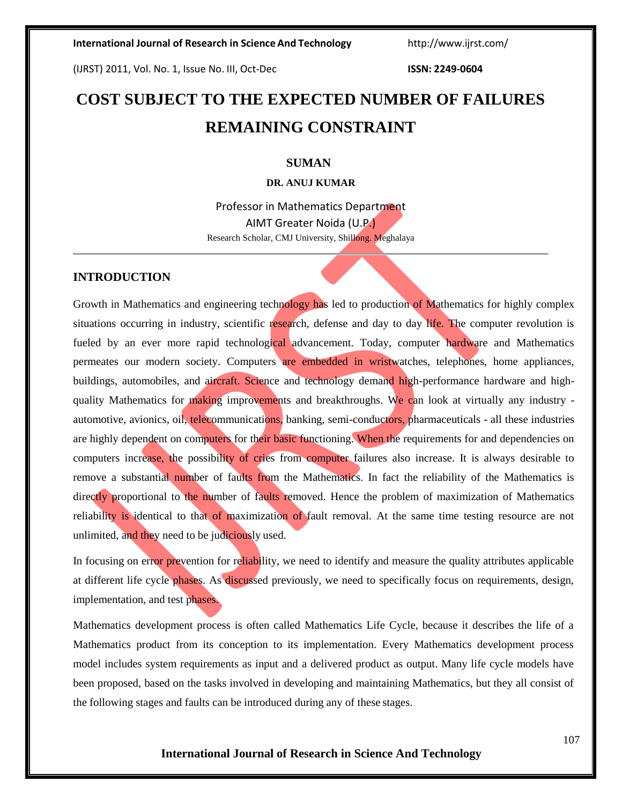(IJRST) 2011, Vol. No. 1, Issue No. III, Oct-Dec **ISSN: 2249-0604**

# **COST SUBJECT TO THE EXPECTED NUMBER OF FAILURES REMAINING CONSTRAINT**

#### **SUMAN**

### **DR. ANUJ KUMAR**

Professor in Mathematics Department AIMT Greater Noida (U.P.) Research Scholar, CMJ University, Shillong. Meghalaya

#### **INTRODUCTION**

Growth in Mathematics and engineering technology has led to production of Mathematics for highly complex situations occurring in industry, scientific research, defense and day to day life. The computer revolution is fueled by an ever more rapid technological advancement. Today, computer hardware and Mathematics permeates our modern society. Computers are embedded in wristwatches, telephones, home appliances, buildings, automobiles, and aircraft. Science and technology demand high-performance hardware and highquality Mathematics for making improvements and breakthroughs. We can look at virtually any industry automotive, avionics, oil, telecommunications, banking, semi-conductors, pharmaceuticals - all these industries are highly dependent on computers for their basic functioning. When the requirements for and dependencies on computers increase, the possibility of cries from computer failures also increase. It is always desirable to remove a substantial number of faults from the Mathematics. In fact the reliability of the Mathematics is directly proportional to the number of faults removed. Hence the problem of maximization of Mathematics reliability is identical to that of maximization of fault removal. At the same time testing resource are not unlimited, and they need to be judiciously used.

In focusing on error prevention for reliability, we need to identify and measure the quality attributes applicable at different life cycle phases. As discussed previously, we need to specifically focus on requirements, design, implementation, and test phases.

Mathematics development process is often called Mathematics Life Cycle, because it describes the life of a Mathematics product from its conception to its implementation. Every Mathematics development process model includes system requirements as input and a delivered product as output. Many life cycle models have been proposed, based on the tasks involved in developing and maintaining Mathematics, but they all consist of the following stages and faults can be introduced during any of these stages.

## **International Journal of Research in Science And Technology**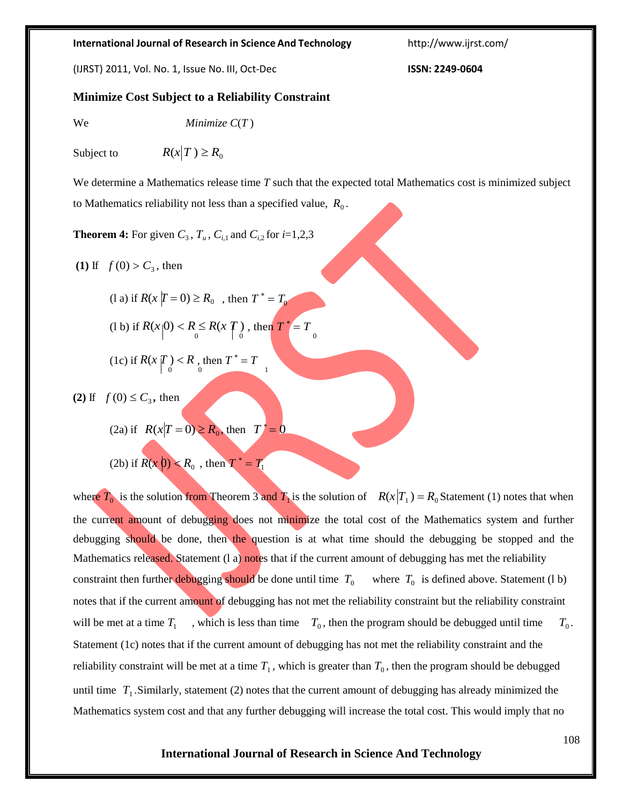#### **International Journal of Research in Science And Technology** <http://www.ijrst.com/>

(IJRST) 2011, Vol. No. 1, Issue No. III, Oct-Dec **ISSN: 2249-0604**

## **Minimize Cost Subject to a Reliability Constraint**

We *Minimize C*(*T* )

Subject to  $R(x|T) \ge R_0$ 

We determine a Mathematics release time *T* such that the expected total Mathematics cost is minimized subject to Mathematics reliability not less than a specified value,  $R_0$ .

**Theorem 4:** For given  $C_3$ ,  $T_u$ ,  $C_{i,1}$  and  $C_{i,2}$  for  $i=1,2,3$ 

- **(1)** If  $f(0) > C_3$ , then
	- (1 a) if  $R(x | T = 0) \ge R_0$ , then  $T^* = T_0$ (1 b) if  $R(x|0) < R \le R(x|T)$ , then  $T^* = T_0$ (1c) if  $R(x | T) < R$ , then  $T^* = T$

**(2)** If  $f(0) \le C_3$ , then

(2a) if  $R(x|T=0) \ge R_0$ , then  $T^* = 0$ 

(2b) if  $R(x_0) < R_0$ , then  $T^* = T_1$ 

where  $T_0$  is the solution from Theorem 3 and  $T_1$  is the solution of  $R(x|T_1) = R_0$  Statement (1) notes that when the current amount of debugging does not minimize the total cost of the Mathematics system and further debugging should be done, then the question is at what time should the debugging be stopped and the Mathematics released. Statement (l a) notes that if the current amount of debugging has met the reliability constraint then further debugging should be done until time  $T_0$  where  $T_0$  is defined above. Statement (1 b) notes that if the current amount of debugging has not met the reliability constraint but the reliability constraint will be met at a time  $T_1$ , which is less than time  $T_0$ , then the program should be debugged until time  $T_0$ . Statement (1c) notes that if the current amount of debugging has not met the reliability constraint and the reliability constraint will be met at a time  $T_1$ , which is greater than  $T_0$ , then the program should be debugged until time  $T_1$ . Similarly, statement (2) notes that the current amount of debugging has already minimized the Mathematics system cost and that any further debugging will increase the total cost. This would imply that no

#### **International Journal of Research in Science And Technology**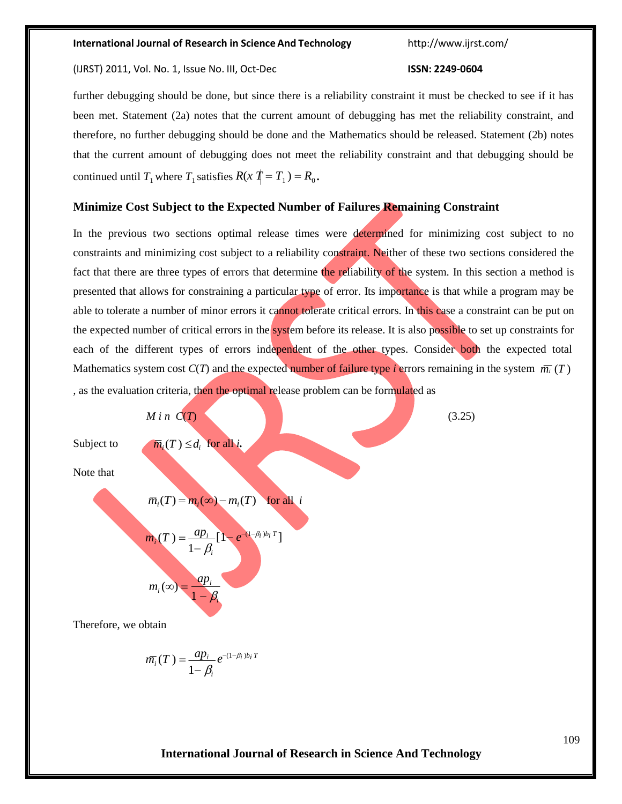#### **International Journal of Research in Science And Technology** <http://www.ijrst.com/>

#### (IJRST) 2011, Vol. No. 1, Issue No. III, Oct-Dec **ISSN: 2249-0604**

# further debugging should be done, but since there is a reliability constraint it must be checked to see if it has been met. Statement (2a) notes that the current amount of debugging has met the reliability constraint, and therefore, no further debugging should be done and the Mathematics should be released. Statement (2b) notes that the current amount of debugging does not meet the reliability constraint and that debugging should be continued until  $T_1$  where  $T_1$  satisfies  $R(x | T = T_1) = R_0$ .

#### **Minimize Cost Subject to the Expected Number of Failures Remaining Constraint**

In the previous two sections optimal release times were determined for minimizing cost subject to no constraints and minimizing cost subject to a reliability constraint. Neither of these two sections considered the fact that there are three types of errors that determine the reliability of the system. In this section a method is presented that allows for constraining a particular type of error. Its importance is that while a program may be able to tolerate a number of minor errors it cannot tolerate critical errors. In this case a constraint can be put on the expected number of critical errors in the system before its release. It is also possible to set up constraints for each of the different types of errors independent of the other types. Consider both the expected total Mathematics system cost  $C(T)$  and the expected number of failure type *i* errors remaining in the system  $\overline{m_i}(T)$ *,* as the evaluation criteria, then the optimal release problem can be formulated as



$$
\overline{m_i}(T) = \frac{ap_i}{1-\beta_i} e^{-(1-\beta_i) b_i T}
$$

### **International Journal of Research in Science And Technology**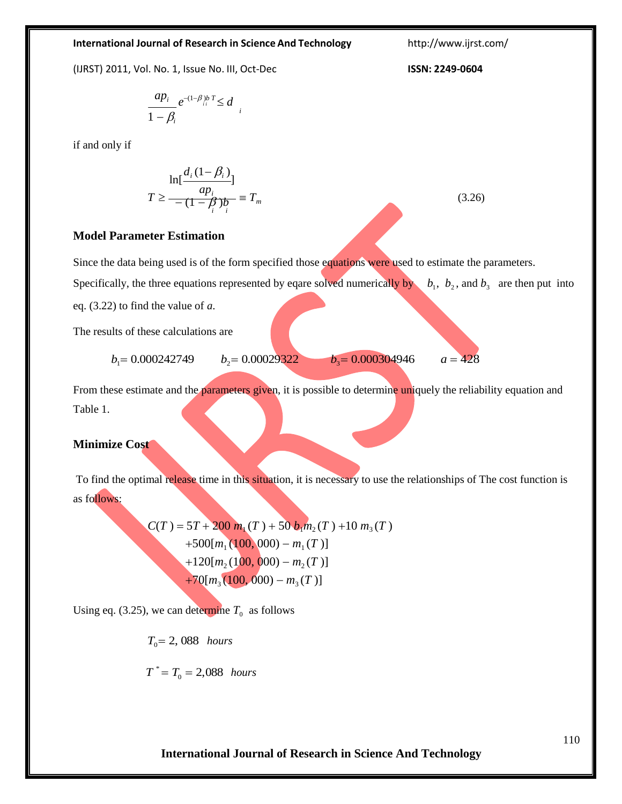#### **International Journal of Research in Science And Technology**

#### **International Journal of Research in Science And Technology** <http://www.ijrst.com/>

(IJRST) 2011, Vol. No. 1, Issue No. III, Oct-Dec **ISSN: 2249-0604**

$$
\frac{ap_i}{1-\beta_i}e^{-(1-\beta_i)bT}\leq d_i
$$

if and only if

$$
\ln[\frac{d_i(1-\beta_i)}{ap_i}]
$$
  

$$
T \ge \frac{ap_i}{-(1-\beta_i)p_i} \equiv T_m
$$

# **Model Parameter Estimation**

Since the data being used is of the form specified those equations were used to estimate the parameters.

Specifically, the three equations represented by eqare solved numerically by  $b_1$ ,  $b_2$ , and  $b_3$  are then put into eq. (3.22) to find the value of *a*.

The results of these calculations are

$$
b_1 = 0.000242749
$$
  $b_2 = 0.00029322$   $b_3 = 0.000304946$   $a = 428$ 

From these estimate and the parameters given, it is possible to determine uniquely the reliability equation and Table 1.

#### **Minimize Cost**

To find the optimal release time in this situation, it is necessary to use the relationships of The cost function is as follows:

$$
C(T) = 5T + 200 m_1(T) + 50 b_1 m_2(T) + 10 m_3(T)
$$
  
+500[m<sub>1</sub>(100, 000) – m<sub>1</sub>(T)]  
+120[m<sub>2</sub>(100, 000) – m<sub>2</sub>(T)]  
+70[m<sub>3</sub>(100, 000) – m<sub>3</sub>(T)]

Using eq. (3.25), we can determine  $T_0$  as follows

 $T_0 = 2,088$  *hours* 

$$
T^* = T_0 = 2{,}088 \text{ hours}
$$

(3.26)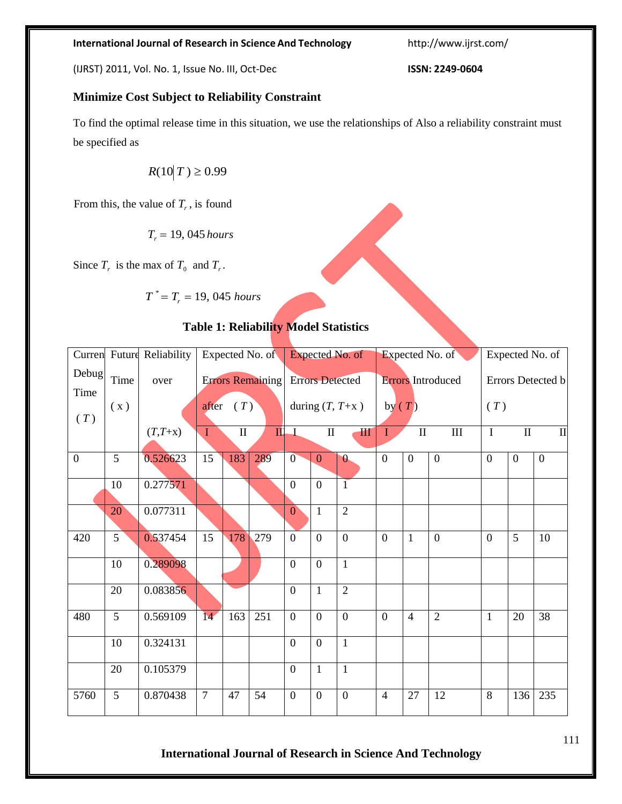# **International Journal of Research in Science And Technology**

### **International Journal of Research in Science And Technology** <http://www.ijrst.com/>

(IJRST) 2011, Vol. No. 1, Issue No. III, Oct-Dec **ISSN: 2249-0604**

## **Minimize Cost Subject to Reliability Constraint**

To find the optimal release time in this situation, we use the relationships of Also a reliability constraint must be specified as

 $R(10 | T) \ge 0.99$ 

From this, the value of  $T_r$ , is found

 $T_r = 19,045$  *hours* 

Since  $T_r$  is the max of  $T_0$  and  $T_r$ .

$$
T^* = T_r = 19,045 hours
$$

## **Table 1: Reliability Model Statistics**

| Curren         |                | Future Reliability | Expected No. of                         |     |                                  | Expected No. of                             |                |                             | Expected No. of                      |                |                                   | Expected No. of          |                |                |
|----------------|----------------|--------------------|-----------------------------------------|-----|----------------------------------|---------------------------------------------|----------------|-----------------------------|--------------------------------------|----------------|-----------------------------------|--------------------------|----------------|----------------|
| Debug          | Time           | over               | <b>Errors Remaining</b><br>(T)<br>after |     |                                  | <b>Errors Detected</b><br>during $(T, T+x)$ |                |                             | <b>Errors</b> Introduced<br>by $(T)$ |                |                                   | Errors Detected b<br>(T) |                |                |
| Time           | (x)            |                    |                                         |     |                                  |                                             |                |                             |                                      |                |                                   |                          |                |                |
| (T)            |                | $(T,T+x)$          | $\mathbf{I}$<br>$\mathbf{u}$            |     | $\mathbf I$<br>$\mathbf{I}$<br>Ш |                                             |                | $\mathbf I$<br>$\mathbf{I}$ |                                      |                | $\mathbf{I}$<br>I<br>$\mathbf{I}$ |                          |                |                |
|                |                |                    | $\mathbf I$                             |     |                                  |                                             |                |                             |                                      |                | $\mathop{\rm III}$                |                          |                |                |
| $\overline{0}$ | 5              | 0.526623           | 15                                      | 183 | 289                              | $\overline{0}$                              | $\mathbf{0}$   | $\theta$                    | $\overline{0}$                       | $\overline{0}$ | $\overline{0}$                    | $\theta$                 | $\overline{0}$ | $\overline{0}$ |
|                | 10             | 0.277571           |                                         |     |                                  | $\overline{0}$                              | $\theta$       | $\overline{1}$              |                                      |                |                                   |                          |                |                |
|                | 20             | 0.077311           |                                         |     |                                  | $\overline{0}$                              | $\mathbf{1}$   | $\overline{2}$              |                                      |                |                                   |                          |                |                |
| 420            | 5              | 0.537454           | 15                                      | 178 | 279                              | $\overline{0}$                              | $\overline{0}$ | $\overline{0}$              | $\overline{0}$                       | $\mathbf{1}$   | $\overline{0}$                    | $\overline{0}$           | 5              | 10             |
|                | 10             | 0.289098           |                                         |     |                                  | $\Omega$                                    | $\overline{0}$ | $\mathbf{1}$                |                                      |                |                                   |                          |                |                |
|                | 20             | 0.083856           |                                         |     |                                  | $\overline{0}$                              | $\mathbf{1}$   | $\overline{2}$              |                                      |                |                                   |                          |                |                |
| 480            | 5              | 0.569109           | 14                                      | 163 | 251                              | $\overline{0}$                              | $\overline{0}$ | $\overline{0}$              | $\theta$                             | $\overline{4}$ | $\overline{2}$                    | $\mathbf{1}$             | 20             | 38             |
|                | 10             | 0.324131           |                                         |     |                                  | $\overline{0}$                              | $\theta$       | $\mathbf{1}$                |                                      |                |                                   |                          |                |                |
|                | 20             | 0.105379           |                                         |     |                                  | $\overline{0}$                              | $\mathbf{1}$   | $\mathbf{1}$                |                                      |                |                                   |                          |                |                |
| 5760           | $\overline{5}$ | 0.870438           | $\overline{7}$                          | 47  | 54                               | $\overline{0}$                              | $\mathbf{0}$   | $\overline{0}$              | $\overline{4}$                       | 27             | 12                                | $\overline{8}$           | 136            | 235            |